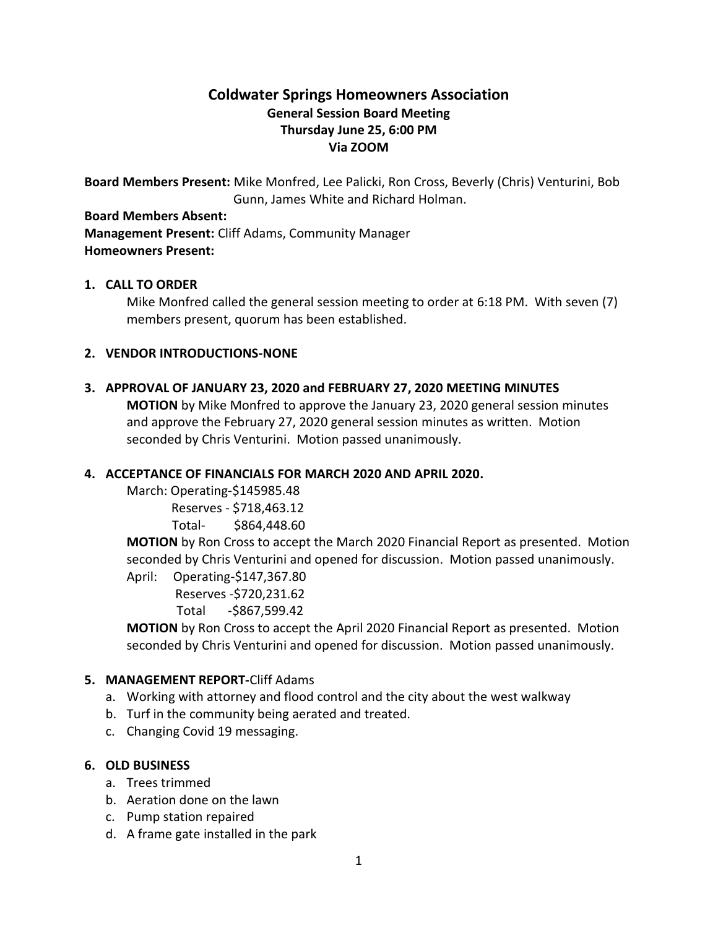# **Coldwater Springs Homeowners Association General Session Board Meeting Thursday June 25, 6:00 PM Via ZOOM**

**Board Members Present:** Mike Monfred, Lee Palicki, Ron Cross, Beverly (Chris) Venturini, Bob Gunn, James White and Richard Holman.

#### **Board Members Absent:**

**Management Present:** Cliff Adams, Community Manager **Homeowners Present:**

# **1. CALL TO ORDER**

Mike Monfred called the general session meeting to order at 6:18 PM. With seven (7) members present, quorum has been established.

### **2. VENDOR INTRODUCTIONS-NONE**

# **3. APPROVAL OF JANUARY 23, 2020 and FEBRUARY 27, 2020 MEETING MINUTES**

**MOTION** by Mike Monfred to approve the January 23, 2020 general session minutes and approve the February 27, 2020 general session minutes as written. Motion seconded by Chris Venturini. Motion passed unanimously.

# **4. ACCEPTANCE OF FINANCIALS FOR MARCH 2020 AND APRIL 2020.**

March: Operating-\$145985.48

Reserves - \$718,463.12

# Total- \$864,448.60

**MOTION** by Ron Cross to accept the March 2020 Financial Report as presented. Motion seconded by Chris Venturini and opened for discussion. Motion passed unanimously. April: Operating-\$147,367.80

Reserves -\$720,231.62

Total -\$867,599.42

**MOTION** by Ron Cross to accept the April 2020 Financial Report as presented. Motion seconded by Chris Venturini and opened for discussion. Motion passed unanimously.

# **5. MANAGEMENT REPORT-**Cliff Adams

- a. Working with attorney and flood control and the city about the west walkway
- b. Turf in the community being aerated and treated.
- c. Changing Covid 19 messaging.

# **6. OLD BUSINESS**

- a. Trees trimmed
- b. Aeration done on the lawn
- c. Pump station repaired
- d. A frame gate installed in the park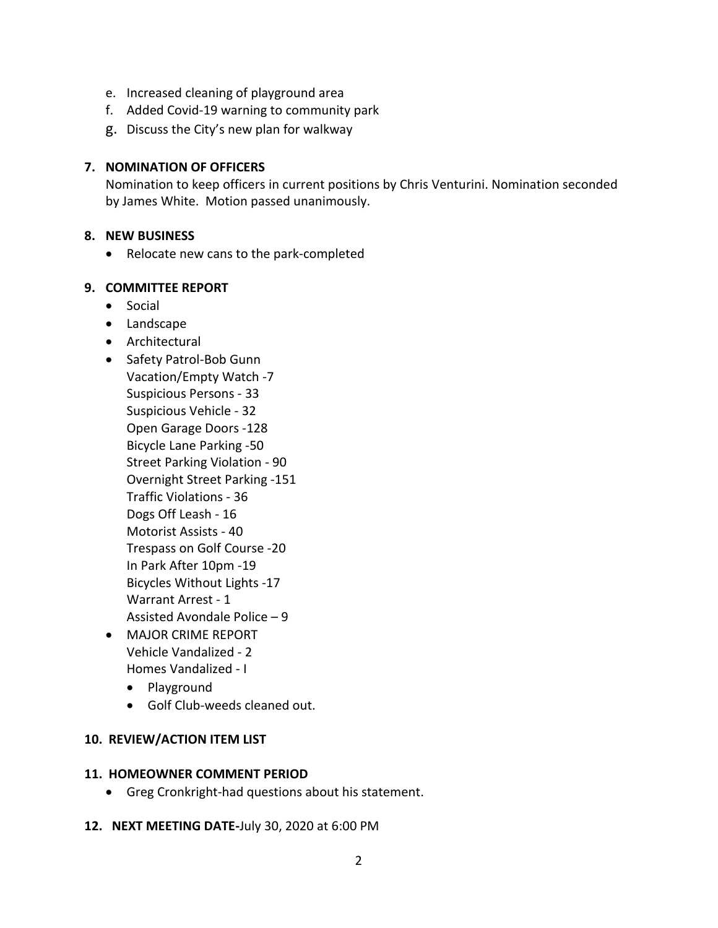- e. Increased cleaning of playground area
- f. Added Covid-19 warning to community park
- g. Discuss the City's new plan for walkway

### **7. NOMINATION OF OFFICERS**

Nomination to keep officers in current positions by Chris Venturini. Nomination seconded by James White. Motion passed unanimously.

#### **8. NEW BUSINESS**

• Relocate new cans to the park-completed

### **9. COMMITTEE REPORT**

- Social
- Landscape
- Architectural
- Safety Patrol-Bob Gunn Vacation/Empty Watch -7 Suspicious Persons - 33 Suspicious Vehicle - 32 Open Garage Doors -128 Bicycle Lane Parking -50 Street Parking Violation - 90 Overnight Street Parking -151 Traffic Violations - 36 Dogs Off Leash - 16 Motorist Assists - 40 Trespass on Golf Course -20 In Park After 10pm -19 Bicycles Without Lights -17 Warrant Arrest - 1 Assisted Avondale Police – 9
- MAJOR CRIME REPORT Vehicle Vandalized - 2 Homes Vandalized - I
	- Playground
	- Golf Club-weeds cleaned out.

#### **10. REVIEW/ACTION ITEM LIST**

#### **11. HOMEOWNER COMMENT PERIOD**

- Greg Cronkright-had questions about his statement.
- **12. NEXT MEETING DATE-**July 30, 2020 at 6:00 PM